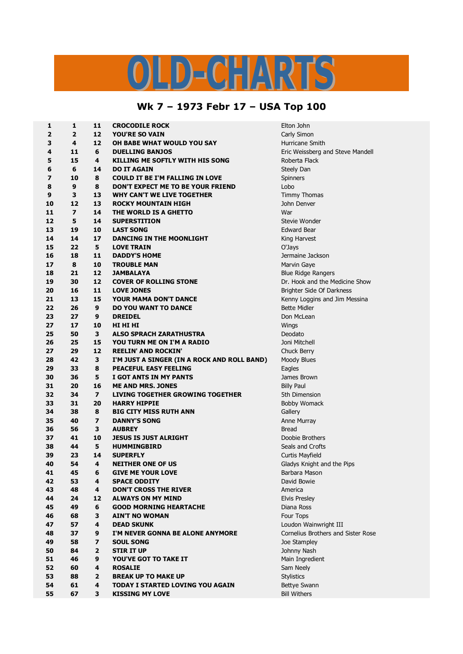## LD-CHARTS

## **Wk 7 – 1973 Febr 17 – USA Top 100**

| 1  | 1                       | 11                      | <b>CROCODILE ROCK</b>                                                | Elton John                         |  |
|----|-------------------------|-------------------------|----------------------------------------------------------------------|------------------------------------|--|
| 2  | $\overline{2}$          | 12                      | <b>YOU'RE SO VAIN</b>                                                | Carly Simon                        |  |
| 3  | 4                       | 12                      | OH BABE WHAT WOULD YOU SAY                                           | Hurricane Smith                    |  |
| 4  | 11                      | 6                       | <b>DUELLING BANJOS</b>                                               | Eric Weissberg and Steve Mandell   |  |
| 5  | 15                      | 4                       | <b>KILLING ME SOFTLY WITH HIS SONG</b>                               | Roberta Flack                      |  |
| 6  | 6                       | 14                      | <b>DO IT AGAIN</b>                                                   | Steely Dan                         |  |
| 7  | 10                      | 8                       | <b>COULD IT BE I'M FALLING IN LOVE</b>                               | Spinners                           |  |
| 8  | 9                       | 8                       | DON'T EXPECT ME TO BE YOUR FRIEND                                    | Lobo                               |  |
| 9  | 3                       | 13                      | WHY CAN'T WE LIVE TOGETHER                                           | <b>Timmy Thomas</b>                |  |
| 10 | 12                      | 13                      | <b>ROCKY MOUNTAIN HIGH</b>                                           | John Denver                        |  |
| 11 | $\overline{\mathbf{z}}$ | 14                      | THE WORLD IS A GHETTO                                                | War                                |  |
| 12 | 5                       | 14                      | <b>SUPERSTITION</b>                                                  | Stevie Wonder                      |  |
| 13 | 19                      | 10                      | <b>LAST SONG</b>                                                     | <b>Edward Bear</b>                 |  |
| 14 | 14                      | 17                      | DANCING IN THE MOONLIGHT                                             | King Harvest                       |  |
| 15 | 22                      | 5                       | <b>LOVE TRAIN</b>                                                    | O'Jays                             |  |
| 16 | 18                      | 11                      | <b>DADDY'S HOME</b>                                                  | Jermaine Jackson                   |  |
| 17 | 8                       | 10                      | <b>TROUBLE MAN</b>                                                   | Marvin Gaye                        |  |
| 18 | 21                      | 12                      | <b>JAMBALAYA</b>                                                     | <b>Blue Ridge Rangers</b>          |  |
| 19 | 30                      | 12                      | <b>COVER OF ROLLING STONE</b>                                        | Dr. Hook and the Medicine Show     |  |
| 20 | 16                      | 11                      | <b>LOVE JONES</b>                                                    | Brighter Side Of Darkness          |  |
| 21 | 13                      | 15                      | <b>YOUR MAMA DON'T DANCE</b>                                         | Kenny Loggins and Jim Messina      |  |
| 22 | 26                      | 9                       | <b>DO YOU WANT TO DANCE</b>                                          | <b>Bette Midler</b>                |  |
| 23 | 27                      | 9                       | <b>DREIDEL</b>                                                       | Don McLean                         |  |
| 27 | 17                      | 10                      | HI HI HI                                                             | Wings                              |  |
| 25 | 50                      | 3                       | <b>ALSO SPRACH ZARATHUSTRA</b>                                       | Deodato                            |  |
| 26 | 25                      | 15                      | YOU TURN ME ON I'M A RADIO                                           | Joni Mitchell                      |  |
| 27 | 29                      | 12                      | <b>REELIN' AND ROCKIN'</b>                                           | Chuck Berry                        |  |
| 28 | 42                      | 3                       |                                                                      |                                    |  |
| 29 | 33                      | 8                       | I'M JUST A SINGER (IN A ROCK AND ROLL BAND)<br>PEACEFUL EASY FEELING | Moody Blues<br>Eagles              |  |
| 30 | 36                      | 5                       | I GOT ANTS IN MY PANTS                                               | James Brown                        |  |
| 31 | 20                      | 16                      | <b>ME AND MRS. JONES</b>                                             | <b>Billy Paul</b>                  |  |
| 32 | 34                      | $\overline{\mathbf{z}}$ | <b>LIVING TOGETHER GROWING TOGETHER</b>                              | 5th Dimension                      |  |
| 33 | 31                      | 20                      | <b>HARRY HIPPIE</b>                                                  |                                    |  |
| 34 | 38                      | 8                       | <b>BIG CITY MISS RUTH ANN</b>                                        | <b>Bobby Womack</b>                |  |
| 35 | 40                      | $\overline{\mathbf{z}}$ | <b>DANNY'S SONG</b>                                                  | Gallery                            |  |
|    | 56                      | 3                       |                                                                      | Anne Murray                        |  |
| 36 |                         |                         | <b>AUBREY</b>                                                        | <b>Bread</b>                       |  |
| 37 | 41                      | 10                      | <b>JESUS IS JUST ALRIGHT</b>                                         | Doobie Brothers                    |  |
| 38 | 44                      | 5                       | <b>HUMMINGBIRD</b>                                                   | Seals and Crofts                   |  |
| 39 | 23                      | 14<br>4                 | <b>SUPERFLY</b>                                                      | Curtis Mayfield                    |  |
| 40 | 54                      |                         | <b>NEITHER ONE OF US</b>                                             | Gladys Knight and the Pips         |  |
| 41 | 45                      | 6                       | <b>GIVE ME YOUR LOVE</b>                                             | Barbara Mason                      |  |
| 42 | 53                      | 4                       | <b>SPACE ODDITY</b>                                                  | David Bowie                        |  |
| 43 | 48                      | 4                       | <b>DON'T CROSS THE RIVER</b>                                         | America                            |  |
| 44 | 24                      | 12                      | <b>ALWAYS ON MY MIND</b>                                             | <b>Elvis Presley</b>               |  |
| 45 | 49                      | 6                       | <b>GOOD MORNING HEARTACHE</b>                                        | Diana Ross                         |  |
| 46 | 68                      | 3                       | <b>AIN'T NO WOMAN</b>                                                | Four Tops                          |  |
| 47 | 57                      | 4                       | <b>DEAD SKUNK</b>                                                    | Loudon Wainwright III              |  |
| 48 | 37                      | 9                       | I'M NEVER GONNA BE ALONE ANYMORE                                     | Cornelius Brothers and Sister Rose |  |
| 49 | 58                      | $\overline{\mathbf{z}}$ | <b>SOUL SONG</b>                                                     | Joe Stampley                       |  |
| 50 | 84                      | $\overline{2}$          | <b>STIR IT UP</b>                                                    | Johnny Nash                        |  |
| 51 | 46                      | 9                       | <b>YOU'VE GOT TO TAKE IT</b>                                         | Main Ingredient                    |  |
| 52 | 60                      | 4                       | <b>ROSALIE</b>                                                       | Sam Neely                          |  |
| 53 | 88                      | $\overline{2}$          | <b>BREAK UP TO MAKE UP</b>                                           | <b>Stylistics</b>                  |  |
| 54 | 61                      | 4                       | TODAY I STARTED LOVING YOU AGAIN                                     | Bettye Swann                       |  |
| 55 | 67                      | 3                       | <b>KISSING MY LOVE</b>                                               | <b>Bill Withers</b>                |  |